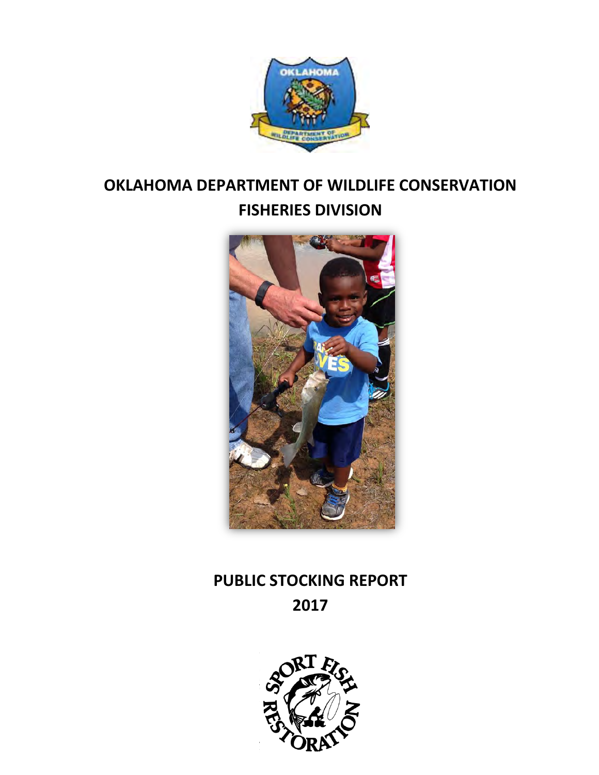

# **OKLAHOMA DEPARTMENT OF WILDLIFE CONSERVATION FISHERIES DIVISION**



# **PUBLIC STOCKING REPORT 2017**

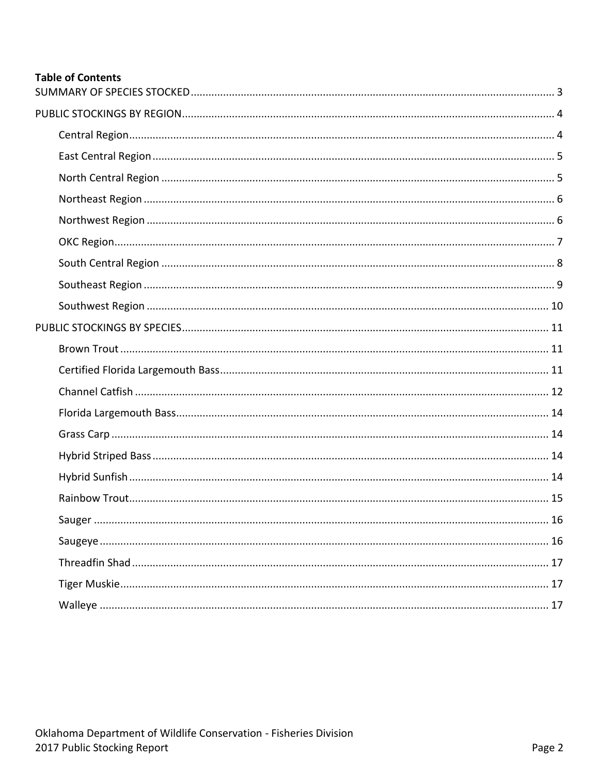## **Table of Contents**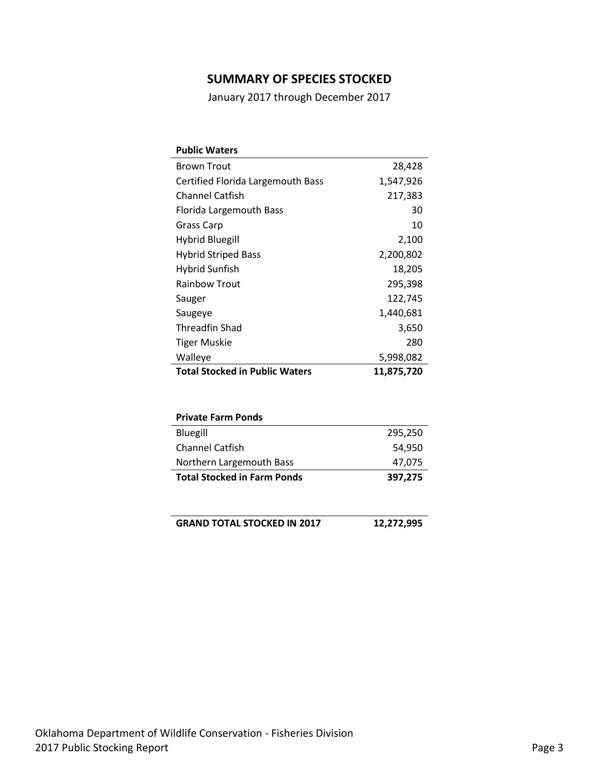## **SUMMARY OF SPECIES STOCKED**

January 2017 through December 2017

<span id="page-2-0"></span>

| <b>Public Waters</b>                  |            |
|---------------------------------------|------------|
| <b>Brown Trout</b>                    | 28,428     |
| Certified Florida Largemouth Bass     | 1,547,926  |
| <b>Channel Catfish</b>                | 217,383    |
| Florida Largemouth Bass               | 30         |
| Grass Carp                            | 10         |
| Hybrid Bluegill                       | 2,100      |
| <b>Hybrid Striped Bass</b>            | 2,200,802  |
| Hybrid Sunfish                        | 18,205     |
| <b>Rainbow Trout</b>                  | 295,398    |
| Sauger                                | 122,745    |
| Saugeye                               | 1,440,681  |
| Threadfin Shad                        | 3,650      |
| Tiger Muskie                          | 280        |
| Walleye                               | 5,998,082  |
| <b>Total Stocked in Public Waters</b> | 11,875,720 |
|                                       |            |

| <b>Private Farm Ponds</b>          |         |
|------------------------------------|---------|
| Bluegill                           | 295,250 |
| <b>Channel Catfish</b>             | 54.950  |
| Northern Largemouth Bass           | 47,075  |
| <b>Total Stocked in Farm Ponds</b> | 397,275 |

| GRAND TOTAL STOCKED IN 2017 | 12,272,995 |
|-----------------------------|------------|
|-----------------------------|------------|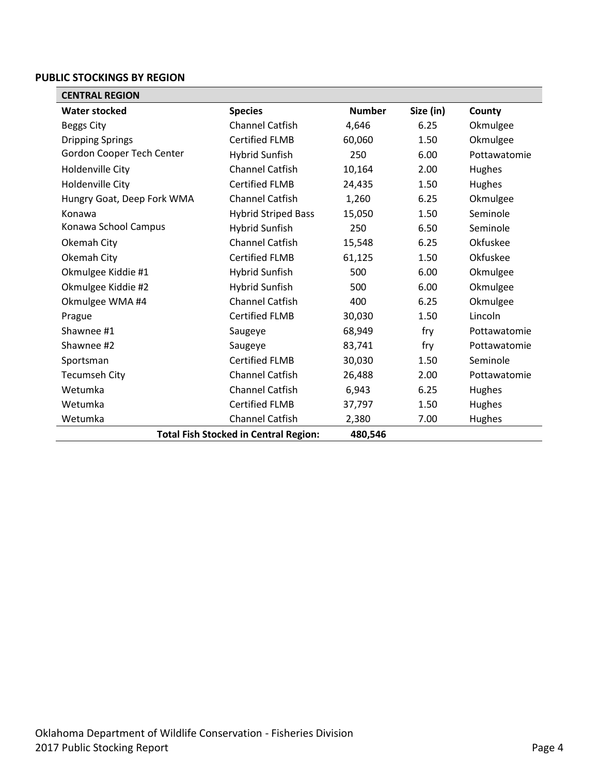#### <span id="page-3-0"></span>**PUBLIC STOCKINGS BY REGION**

<span id="page-3-1"></span>

| <b>CENTRAL REGION</b>                        |                            |               |           |              |
|----------------------------------------------|----------------------------|---------------|-----------|--------------|
| <b>Water stocked</b>                         | <b>Species</b>             | <b>Number</b> | Size (in) | County       |
| <b>Beggs City</b>                            | <b>Channel Catfish</b>     | 4,646         | 6.25      | Okmulgee     |
| <b>Dripping Springs</b>                      | <b>Certified FLMB</b>      | 60,060        | 1.50      | Okmulgee     |
| Gordon Cooper Tech Center                    | <b>Hybrid Sunfish</b>      | 250           | 6.00      | Pottawatomie |
| Holdenville City                             | <b>Channel Catfish</b>     | 10,164        | 2.00      | Hughes       |
| Holdenville City                             | <b>Certified FLMB</b>      | 24,435        | 1.50      | Hughes       |
| Hungry Goat, Deep Fork WMA                   | <b>Channel Catfish</b>     | 1,260         | 6.25      | Okmulgee     |
| Konawa                                       | <b>Hybrid Striped Bass</b> | 15,050        | 1.50      | Seminole     |
| Konawa School Campus                         | <b>Hybrid Sunfish</b>      | 250           | 6.50      | Seminole     |
| Okemah City                                  | Channel Catfish            | 15,548        | 6.25      | Okfuskee     |
| Okemah City                                  | <b>Certified FLMB</b>      | 61,125        | 1.50      | Okfuskee     |
| Okmulgee Kiddie #1                           | <b>Hybrid Sunfish</b>      | 500           | 6.00      | Okmulgee     |
| Okmulgee Kiddie #2                           | <b>Hybrid Sunfish</b>      | 500           | 6.00      | Okmulgee     |
| Okmulgee WMA #4                              | <b>Channel Catfish</b>     | 400           | 6.25      | Okmulgee     |
| Prague                                       | <b>Certified FLMB</b>      | 30,030        | 1.50      | Lincoln      |
| Shawnee #1                                   | Saugeye                    | 68,949        | fry       | Pottawatomie |
| Shawnee #2                                   | Saugeye                    | 83,741        | fry       | Pottawatomie |
| Sportsman                                    | <b>Certified FLMB</b>      | 30,030        | 1.50      | Seminole     |
| <b>Tecumseh City</b>                         | <b>Channel Catfish</b>     | 26,488        | 2.00      | Pottawatomie |
| Wetumka                                      | <b>Channel Catfish</b>     | 6,943         | 6.25      | Hughes       |
| Wetumka                                      | <b>Certified FLMB</b>      | 37,797        | 1.50      | Hughes       |
| Wetumka                                      | <b>Channel Catfish</b>     | 2,380         | 7.00      | Hughes       |
| <b>Total Fish Stocked in Central Region:</b> | 480,546                    |               |           |              |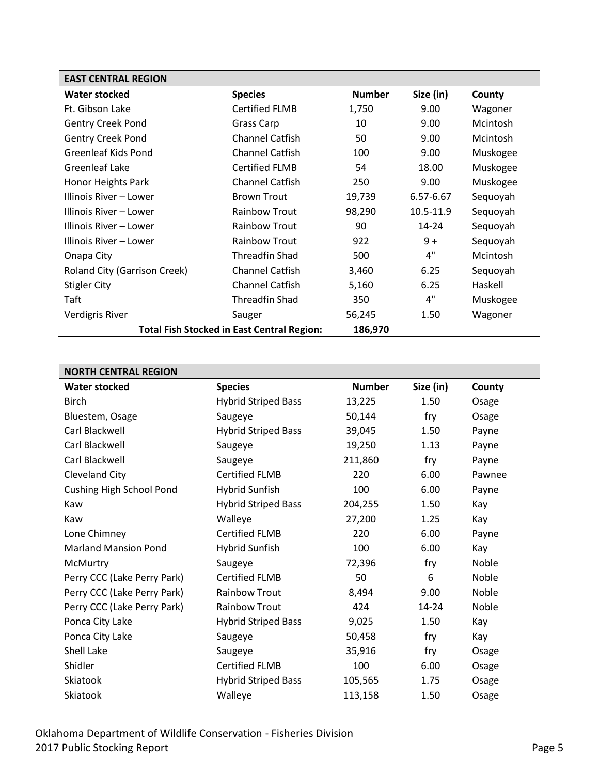<span id="page-4-0"></span>

| <b>EAST CENTRAL REGION</b>                        |                        |               |           |          |
|---------------------------------------------------|------------------------|---------------|-----------|----------|
| Water stocked                                     | <b>Species</b>         | <b>Number</b> | Size (in) | County   |
| Ft. Gibson Lake                                   | <b>Certified FLMB</b>  | 1,750         | 9.00      | Wagoner  |
| <b>Gentry Creek Pond</b>                          | Grass Carp             | 10            | 9.00      | Mcintosh |
| <b>Gentry Creek Pond</b>                          | <b>Channel Catfish</b> | 50            | 9.00      | Mcintosh |
| Greenleaf Kids Pond                               | <b>Channel Catfish</b> | 100           | 9.00      | Muskogee |
| Greenleaf Lake                                    | <b>Certified FLMB</b>  | 54            | 18.00     | Muskogee |
| Honor Heights Park                                | <b>Channel Catfish</b> | 250           | 9.00      | Muskogee |
| Illinois River – Lower                            | <b>Brown Trout</b>     | 19,739        | 6.57-6.67 | Sequoyah |
| Illinois River – Lower                            | <b>Rainbow Trout</b>   | 98,290        | 10.5-11.9 | Sequoyah |
| Illinois River – Lower                            | <b>Rainbow Trout</b>   | 90            | $14 - 24$ | Sequoyah |
| Illinois River – Lower                            | <b>Rainbow Trout</b>   | 922           | $9+$      | Sequoyah |
| Onapa City                                        | Threadfin Shad         | 500           | 4"        | Mcintosh |
| Roland City (Garrison Creek)                      | <b>Channel Catfish</b> | 3,460         | 6.25      | Sequoyah |
| <b>Stigler City</b>                               | <b>Channel Catfish</b> | 5,160         | 6.25      | Haskell  |
| Taft                                              | Threadfin Shad         | 350           | 4"        | Muskogee |
| Verdigris River                                   | Sauger                 | 56,245        | 1.50      | Wagoner  |
| <b>Total Fish Stocked in East Central Region:</b> | 186,970                |               |           |          |

<span id="page-4-1"></span>

| <b>NORTH CENTRAL REGION</b> |                            |               |           |        |
|-----------------------------|----------------------------|---------------|-----------|--------|
| <b>Water stocked</b>        | <b>Species</b>             | <b>Number</b> | Size (in) | County |
| <b>Birch</b>                | <b>Hybrid Striped Bass</b> | 13,225        | 1.50      | Osage  |
| Bluestem, Osage             | Saugeye                    | 50,144        | fry       | Osage  |
| Carl Blackwell              | <b>Hybrid Striped Bass</b> | 39,045        | 1.50      | Payne  |
| Carl Blackwell              | Saugeye                    | 19,250        | 1.13      | Payne  |
| Carl Blackwell              | Saugeye                    | 211,860       | fry       | Payne  |
| Cleveland City              | <b>Certified FLMB</b>      | 220           | 6.00      | Pawnee |
| Cushing High School Pond    | <b>Hybrid Sunfish</b>      | 100           | 6.00      | Payne  |
| Kaw                         | <b>Hybrid Striped Bass</b> | 204,255       | 1.50      | Kay    |
| Kaw                         | Walleye                    | 27,200        | 1.25      | Kay    |
| Lone Chimney                | <b>Certified FLMB</b>      | 220           | 6.00      | Payne  |
| <b>Marland Mansion Pond</b> | <b>Hybrid Sunfish</b>      | 100           | 6.00      | Kay    |
| McMurtry                    | Saugeye                    | 72,396        | fry       | Noble  |
| Perry CCC (Lake Perry Park) | <b>Certified FLMB</b>      | 50            | 6         | Noble  |
| Perry CCC (Lake Perry Park) | <b>Rainbow Trout</b>       | 8,494         | 9.00      | Noble  |
| Perry CCC (Lake Perry Park) | <b>Rainbow Trout</b>       | 424           | $14 - 24$ | Noble  |
| Ponca City Lake             | <b>Hybrid Striped Bass</b> | 9,025         | 1.50      | Kay    |
| Ponca City Lake             | Saugeye                    | 50,458        | fry       | Kay    |
| Shell Lake                  | Saugeye                    | 35,916        | fry       | Osage  |
| Shidler                     | <b>Certified FLMB</b>      | 100           | 6.00      | Osage  |
| Skiatook                    | <b>Hybrid Striped Bass</b> | 105,565       | 1.75      | Osage  |
| Skiatook                    | Walleye                    | 113,158       | 1.50      | Osage  |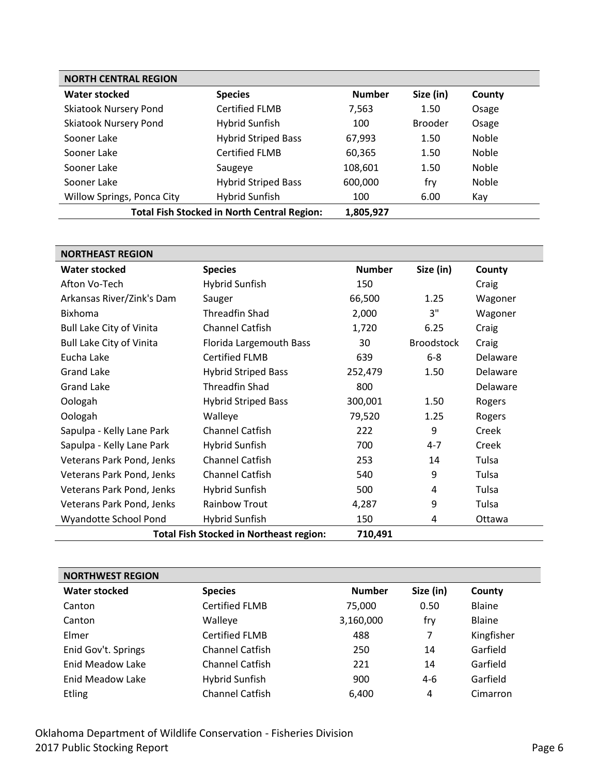| <b>NORTH CENTRAL REGION</b>                        |                            |               |                |              |  |
|----------------------------------------------------|----------------------------|---------------|----------------|--------------|--|
| <b>Water stocked</b>                               | <b>Species</b>             | <b>Number</b> | Size (in)      | County       |  |
| <b>Skiatook Nursery Pond</b>                       | Certified FLMB             | 7,563         | 1.50           | Osage        |  |
| <b>Skiatook Nursery Pond</b>                       | Hybrid Sunfish             | 100           | <b>Brooder</b> | Osage        |  |
| Sooner Lake                                        | <b>Hybrid Striped Bass</b> | 67,993        | 1.50           | <b>Noble</b> |  |
| Sooner Lake                                        | <b>Certified FLMB</b>      | 60,365        | 1.50           | <b>Noble</b> |  |
| Sooner Lake                                        | Saugeye                    | 108,601       | 1.50           | <b>Noble</b> |  |
| Sooner Lake                                        | <b>Hybrid Striped Bass</b> | 600,000       | fry            | <b>Noble</b> |  |
| Willow Springs, Ponca City                         | <b>Hybrid Sunfish</b>      | 100           | 6.00           | Kay          |  |
| <b>Total Fish Stocked in North Central Region:</b> |                            | 1,805,927     |                |              |  |

<span id="page-5-0"></span>

| <b>NORTHEAST REGION</b>                                   |                            |               |                   |          |
|-----------------------------------------------------------|----------------------------|---------------|-------------------|----------|
| Water stocked                                             | <b>Species</b>             | <b>Number</b> | Size (in)         | County   |
| Afton Vo-Tech                                             | Hybrid Sunfish             | 150           |                   | Craig    |
| Arkansas River/Zink's Dam                                 | Sauger                     | 66,500        | 1.25              | Wagoner  |
| <b>Bixhoma</b>                                            | <b>Threadfin Shad</b>      | 2,000         | 3"                | Wagoner  |
| <b>Bull Lake City of Vinita</b>                           | <b>Channel Catfish</b>     | 1,720         | 6.25              | Craig    |
| <b>Bull Lake City of Vinita</b>                           | Florida Largemouth Bass    | 30            | <b>Broodstock</b> | Craig    |
| Eucha Lake                                                | <b>Certified FLMB</b>      | 639           | $6-8$             | Delaware |
| <b>Grand Lake</b>                                         | <b>Hybrid Striped Bass</b> | 252,479       | 1.50              | Delaware |
| <b>Grand Lake</b>                                         | <b>Threadfin Shad</b>      | 800           |                   | Delaware |
| Oologah                                                   | <b>Hybrid Striped Bass</b> | 300,001       | 1.50              | Rogers   |
| Oologah                                                   | Walleye                    | 79,520        | 1.25              | Rogers   |
| Sapulpa - Kelly Lane Park                                 | <b>Channel Catfish</b>     | 222           | 9                 | Creek    |
| Sapulpa - Kelly Lane Park                                 | Hybrid Sunfish             | 700           | $4 - 7$           | Creek    |
| Veterans Park Pond, Jenks                                 | <b>Channel Catfish</b>     | 253           | 14                | Tulsa    |
| Veterans Park Pond, Jenks                                 | <b>Channel Catfish</b>     | 540           | 9                 | Tulsa    |
| Veterans Park Pond, Jenks                                 | Hybrid Sunfish             | 500           | 4                 | Tulsa    |
| Veterans Park Pond, Jenks                                 | Rainbow Trout              | 4,287         | 9                 | Tulsa    |
| Wyandotte School Pond                                     | Hybrid Sunfish             | 150           | 4                 | Ottawa   |
| <b>Total Fish Stocked in Northeast region:</b><br>710,491 |                            |               |                   |          |

<span id="page-5-1"></span>

| <b>NORTHWEST REGION</b> |                        |               |           |            |
|-------------------------|------------------------|---------------|-----------|------------|
| <b>Water stocked</b>    | <b>Species</b>         | <b>Number</b> | Size (in) | County     |
| Canton                  | <b>Certified FLMB</b>  | 75,000        | 0.50      | Blaine     |
| Canton                  | Walleye                | 3,160,000     | fry       | Blaine     |
| Elmer                   | <b>Certified FLMB</b>  | 488           | 7         | Kingfisher |
| Enid Gov't. Springs     | <b>Channel Catfish</b> | 250           | 14        | Garfield   |
| <b>Enid Meadow Lake</b> | <b>Channel Catfish</b> | 221           | 14        | Garfield   |
| Enid Meadow Lake        | <b>Hybrid Sunfish</b>  | 900           | $4-6$     | Garfield   |
| <b>Etling</b>           | <b>Channel Catfish</b> | 6,400         | 4         | Cimarron   |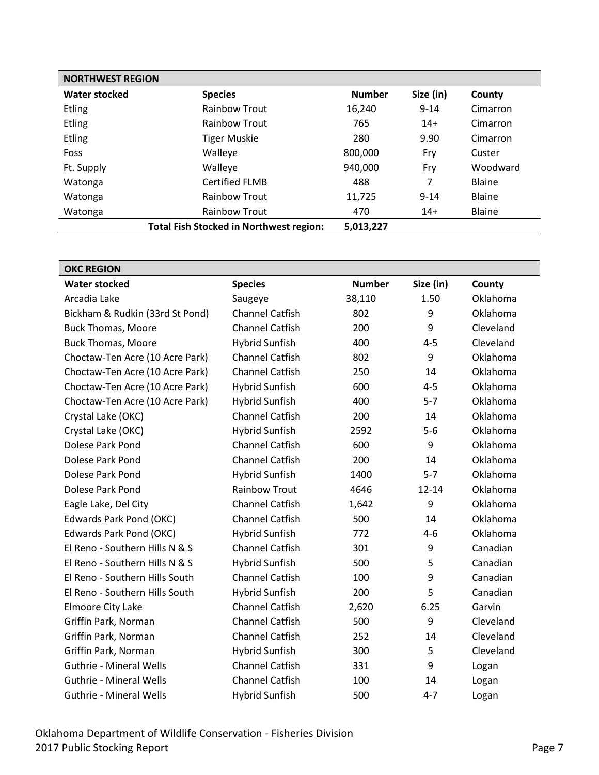| <b>NORTHWEST REGION</b> |                                                |               |           |               |  |
|-------------------------|------------------------------------------------|---------------|-----------|---------------|--|
| <b>Water stocked</b>    | <b>Species</b>                                 | <b>Number</b> | Size (in) | County        |  |
| <b>Etling</b>           | <b>Rainbow Trout</b>                           | 16,240        | $9 - 14$  | Cimarron      |  |
| <b>Etling</b>           | <b>Rainbow Trout</b>                           | 765           | $14+$     | Cimarron      |  |
| <b>Etling</b>           | <b>Tiger Muskie</b>                            | 280           | 9.90      | Cimarron      |  |
| Foss                    | Walleye                                        | 800,000       | Fry       | Custer        |  |
| Ft. Supply              | Walleye                                        | 940,000       | Fry       | Woodward      |  |
| Watonga                 | <b>Certified FLMB</b>                          | 488           | 7         | Blaine        |  |
| Watonga                 | <b>Rainbow Trout</b>                           | 11,725        | $9 - 14$  | Blaine        |  |
| Watonga                 | <b>Rainbow Trout</b>                           | 470           | $14+$     | <b>Blaine</b> |  |
|                         | <b>Total Fish Stocked in Northwest region:</b> | 5,013,227     |           |               |  |

<span id="page-6-0"></span>

| <b>OKC REGION</b>               |                        |               |           |                 |  |
|---------------------------------|------------------------|---------------|-----------|-----------------|--|
| <b>Water stocked</b>            | <b>Species</b>         | <b>Number</b> | Size (in) | County          |  |
| Arcadia Lake                    | Saugeye                | 38,110        | 1.50      | Oklahoma        |  |
| Bickham & Rudkin (33rd St Pond) | <b>Channel Catfish</b> | 802           | 9         | Oklahoma        |  |
| <b>Buck Thomas, Moore</b>       | <b>Channel Catfish</b> | 200           | 9         | Cleveland       |  |
| <b>Buck Thomas, Moore</b>       | <b>Hybrid Sunfish</b>  | 400           | $4 - 5$   | Cleveland       |  |
| Choctaw-Ten Acre (10 Acre Park) | <b>Channel Catfish</b> | 802           | 9         | Oklahoma        |  |
| Choctaw-Ten Acre (10 Acre Park) | <b>Channel Catfish</b> | 250           | 14        | Oklahoma        |  |
| Choctaw-Ten Acre (10 Acre Park) | <b>Hybrid Sunfish</b>  | 600           | $4 - 5$   | Oklahoma        |  |
| Choctaw-Ten Acre (10 Acre Park) | <b>Hybrid Sunfish</b>  | 400           | $5 - 7$   | Oklahoma        |  |
| Crystal Lake (OKC)              | <b>Channel Catfish</b> | 200           | 14        | Oklahoma        |  |
| Crystal Lake (OKC)              | <b>Hybrid Sunfish</b>  | 2592          | $5-6$     | Oklahoma        |  |
| Dolese Park Pond                | <b>Channel Catfish</b> | 600           | 9         | Oklahoma        |  |
| Dolese Park Pond                | <b>Channel Catfish</b> | 200           | 14        | <b>Oklahoma</b> |  |
| Dolese Park Pond                | <b>Hybrid Sunfish</b>  | 1400          | $5 - 7$   | Oklahoma        |  |
| Dolese Park Pond                | <b>Rainbow Trout</b>   | 4646          | $12 - 14$ | Oklahoma        |  |
| Eagle Lake, Del City            | <b>Channel Catfish</b> | 1,642         | 9         | <b>Oklahoma</b> |  |
| Edwards Park Pond (OKC)         | <b>Channel Catfish</b> | 500           | 14        | Oklahoma        |  |
| Edwards Park Pond (OKC)         | <b>Hybrid Sunfish</b>  | 772           | $4 - 6$   | Oklahoma        |  |
| El Reno - Southern Hills N & S  | <b>Channel Catfish</b> | 301           | 9         | Canadian        |  |
| El Reno - Southern Hills N & S  | <b>Hybrid Sunfish</b>  | 500           | 5         | Canadian        |  |
| El Reno - Southern Hills South  | <b>Channel Catfish</b> | 100           | 9         | Canadian        |  |
| El Reno - Southern Hills South  | <b>Hybrid Sunfish</b>  | 200           | 5         | Canadian        |  |
| Elmoore City Lake               | <b>Channel Catfish</b> | 2,620         | 6.25      | Garvin          |  |
| Griffin Park, Norman            | <b>Channel Catfish</b> | 500           | 9         | Cleveland       |  |
| Griffin Park, Norman            | <b>Channel Catfish</b> | 252           | 14        | Cleveland       |  |
| Griffin Park, Norman            | <b>Hybrid Sunfish</b>  | 300           | 5         | Cleveland       |  |
| <b>Guthrie - Mineral Wells</b>  | <b>Channel Catfish</b> | 331           | 9         | Logan           |  |
| <b>Guthrie - Mineral Wells</b>  | <b>Channel Catfish</b> | 100           | 14        | Logan           |  |
| <b>Guthrie - Mineral Wells</b>  | <b>Hybrid Sunfish</b>  | 500           | $4 - 7$   | Logan           |  |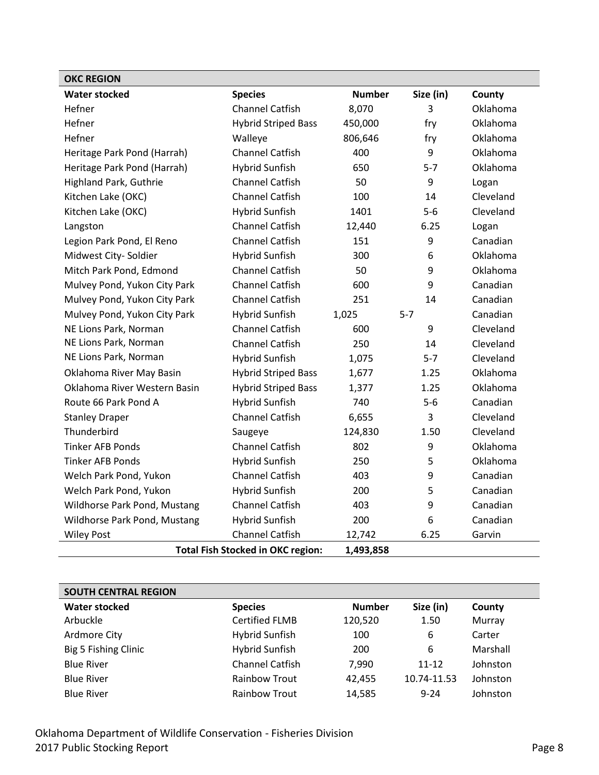| <b>OKC REGION</b>            |                                          |               |           |           |
|------------------------------|------------------------------------------|---------------|-----------|-----------|
| <b>Water stocked</b>         | <b>Species</b>                           | <b>Number</b> | Size (in) | County    |
| Hefner                       | <b>Channel Catfish</b>                   | 8,070         | 3         | Oklahoma  |
| Hefner                       | <b>Hybrid Striped Bass</b>               | 450,000       | fry       | Oklahoma  |
| Hefner                       | Walleye                                  | 806,646       | fry       | Oklahoma  |
| Heritage Park Pond (Harrah)  | <b>Channel Catfish</b>                   | 400           | 9         | Oklahoma  |
| Heritage Park Pond (Harrah)  | <b>Hybrid Sunfish</b>                    | 650           | $5 - 7$   | Oklahoma  |
| Highland Park, Guthrie       | <b>Channel Catfish</b>                   | 50            | 9         | Logan     |
| Kitchen Lake (OKC)           | <b>Channel Catfish</b>                   | 100           | 14        | Cleveland |
| Kitchen Lake (OKC)           | <b>Hybrid Sunfish</b>                    | 1401          | $5-6$     | Cleveland |
| Langston                     | Channel Catfish                          | 12,440        | 6.25      | Logan     |
| Legion Park Pond, El Reno    | <b>Channel Catfish</b>                   | 151           | 9         | Canadian  |
| Midwest City- Soldier        | <b>Hybrid Sunfish</b>                    | 300           | 6         | Oklahoma  |
| Mitch Park Pond, Edmond      | Channel Catfish                          | 50            | 9         | Oklahoma  |
| Mulvey Pond, Yukon City Park | <b>Channel Catfish</b>                   | 600           | 9         | Canadian  |
| Mulvey Pond, Yukon City Park | <b>Channel Catfish</b>                   | 251           | 14        | Canadian  |
| Mulvey Pond, Yukon City Park | <b>Hybrid Sunfish</b>                    | 1,025         | $5 - 7$   | Canadian  |
| NE Lions Park, Norman        | Channel Catfish                          | 600           | 9         | Cleveland |
| NE Lions Park, Norman        | <b>Channel Catfish</b>                   | 250           | 14        | Cleveland |
| NE Lions Park, Norman        | <b>Hybrid Sunfish</b>                    | 1,075         | $5 - 7$   | Cleveland |
| Oklahoma River May Basin     | <b>Hybrid Striped Bass</b>               | 1,677         | 1.25      | Oklahoma  |
| Oklahoma River Western Basin | <b>Hybrid Striped Bass</b>               | 1,377         | 1.25      | Oklahoma  |
| Route 66 Park Pond A         | <b>Hybrid Sunfish</b>                    | 740           | $5-6$     | Canadian  |
| <b>Stanley Draper</b>        | <b>Channel Catfish</b>                   | 6,655         | 3         | Cleveland |
| Thunderbird                  | Saugeye                                  | 124,830       | 1.50      | Cleveland |
| <b>Tinker AFB Ponds</b>      | <b>Channel Catfish</b>                   | 802           | 9         | Oklahoma  |
| <b>Tinker AFB Ponds</b>      | <b>Hybrid Sunfish</b>                    | 250           | 5         | Oklahoma  |
| Welch Park Pond, Yukon       | Channel Catfish                          | 403           | 9         | Canadian  |
| Welch Park Pond, Yukon       | <b>Hybrid Sunfish</b>                    | 200           | 5         | Canadian  |
| Wildhorse Park Pond, Mustang | <b>Channel Catfish</b>                   | 403           | 9         | Canadian  |
| Wildhorse Park Pond, Mustang | <b>Hybrid Sunfish</b>                    | 200           | 6         | Canadian  |
| <b>Wiley Post</b>            | <b>Channel Catfish</b>                   | 12,742        | 6.25      | Garvin    |
|                              | <b>Total Fish Stocked in OKC region:</b> | 1,493,858     |           |           |

<span id="page-7-0"></span>

| <b>SOUTH CENTRAL REGION</b> |                        |               |             |          |
|-----------------------------|------------------------|---------------|-------------|----------|
| <b>Water stocked</b>        | <b>Species</b>         | <b>Number</b> | Size (in)   | County   |
| Arbuckle                    | <b>Certified FLMB</b>  | 120,520       | 1.50        | Murray   |
| Ardmore City                | <b>Hybrid Sunfish</b>  | 100           | 6           | Carter   |
| Big 5 Fishing Clinic        | <b>Hybrid Sunfish</b>  | 200           | 6           | Marshall |
| <b>Blue River</b>           | <b>Channel Catfish</b> | 7,990         | $11 - 12$   | Johnston |
| <b>Blue River</b>           | <b>Rainbow Trout</b>   | 42,455        | 10.74-11.53 | Johnston |
| <b>Blue River</b>           | <b>Rainbow Trout</b>   | 14,585        | $9 - 24$    | Johnston |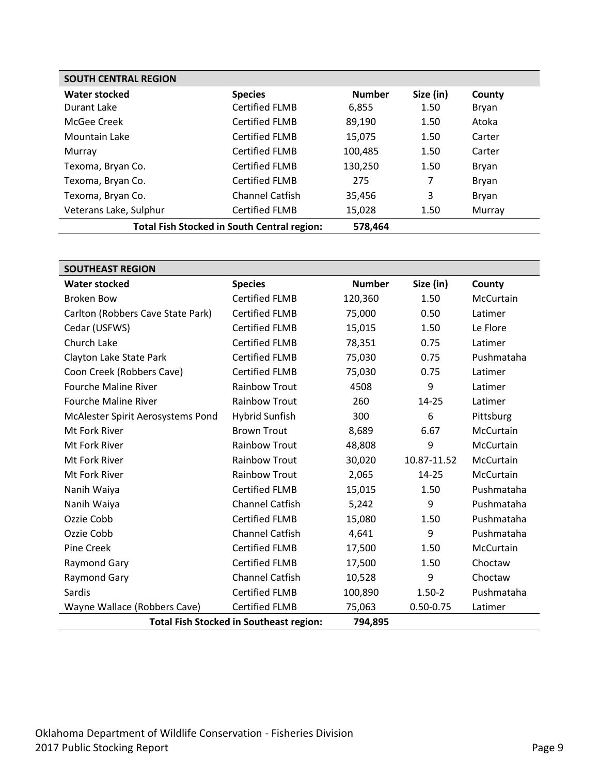| <b>SOUTH CENTRAL REGION</b>                        |                        |               |           |        |
|----------------------------------------------------|------------------------|---------------|-----------|--------|
| <b>Water stocked</b>                               | <b>Species</b>         | <b>Number</b> | Size (in) | County |
| Durant Lake                                        | <b>Certified FLMB</b>  | 6,855         | 1.50      | Bryan  |
| McGee Creek                                        | <b>Certified FLMB</b>  | 89,190        | 1.50      | Atoka  |
| Mountain Lake                                      | <b>Certified FLMB</b>  | 15,075        | 1.50      | Carter |
| Murray                                             | <b>Certified FLMB</b>  | 100,485       | 1.50      | Carter |
| Texoma, Bryan Co.                                  | <b>Certified FLMB</b>  | 130,250       | 1.50      | Bryan  |
| Texoma, Bryan Co.                                  | <b>Certified FLMB</b>  | 275           | 7         | Bryan  |
| Texoma, Bryan Co.                                  | <b>Channel Catfish</b> | 35,456        | 3         | Bryan  |
| Veterans Lake, Sulphur                             | <b>Certified FLMB</b>  | 15,028        | 1.50      | Murray |
| <b>Total Fish Stocked in South Central region:</b> |                        | 578,464       |           |        |

<span id="page-8-0"></span>

| <b>SOUTHEAST REGION</b>           |                                                |               |               |            |
|-----------------------------------|------------------------------------------------|---------------|---------------|------------|
| <b>Water stocked</b>              | <b>Species</b>                                 | <b>Number</b> | Size (in)     | County     |
| <b>Broken Bow</b>                 | <b>Certified FLMB</b>                          | 120,360       | 1.50          | McCurtain  |
| Carlton (Robbers Cave State Park) | <b>Certified FLMB</b>                          | 75,000        | 0.50          | Latimer    |
| Cedar (USFWS)                     | <b>Certified FLMB</b>                          | 15,015        | 1.50          | Le Flore   |
| Church Lake                       | <b>Certified FLMB</b>                          | 78,351        | 0.75          | Latimer    |
| Clayton Lake State Park           | <b>Certified FLMB</b>                          | 75,030        | 0.75          | Pushmataha |
| Coon Creek (Robbers Cave)         | <b>Certified FLMB</b>                          | 75,030        | 0.75          | Latimer    |
| <b>Fourche Maline River</b>       | <b>Rainbow Trout</b>                           | 4508          | 9             | Latimer    |
| <b>Fourche Maline River</b>       | <b>Rainbow Trout</b>                           | 260           | $14 - 25$     | Latimer    |
| McAlester Spirit Aerosystems Pond | <b>Hybrid Sunfish</b>                          | 300           | 6             | Pittsburg  |
| Mt Fork River                     | <b>Brown Trout</b>                             | 8,689         | 6.67          | McCurtain  |
| Mt Fork River                     | <b>Rainbow Trout</b>                           | 48,808        | 9             | McCurtain  |
| Mt Fork River                     | <b>Rainbow Trout</b>                           | 30,020        | 10.87-11.52   | McCurtain  |
| Mt Fork River                     | <b>Rainbow Trout</b>                           | 2,065         | $14 - 25$     | McCurtain  |
| Nanih Waiya                       | <b>Certified FLMB</b>                          | 15,015        | 1.50          | Pushmataha |
| Nanih Waiya                       | <b>Channel Catfish</b>                         | 5,242         | 9             | Pushmataha |
| Ozzie Cobb                        | <b>Certified FLMB</b>                          | 15,080        | 1.50          | Pushmataha |
| Ozzie Cobb                        | <b>Channel Catfish</b>                         | 4,641         | 9             | Pushmataha |
| <b>Pine Creek</b>                 | <b>Certified FLMB</b>                          | 17,500        | 1.50          | McCurtain  |
| Raymond Gary                      | <b>Certified FLMB</b>                          | 17,500        | 1.50          | Choctaw    |
| <b>Raymond Gary</b>               | Channel Catfish                                | 10,528        | 9             | Choctaw    |
| Sardis                            | <b>Certified FLMB</b>                          | 100,890       | $1.50 - 2$    | Pushmataha |
| Wayne Wallace (Robbers Cave)      | <b>Certified FLMB</b>                          | 75,063        | $0.50 - 0.75$ | Latimer    |
|                                   | <b>Total Fish Stocked in Southeast region:</b> | 794,895       |               |            |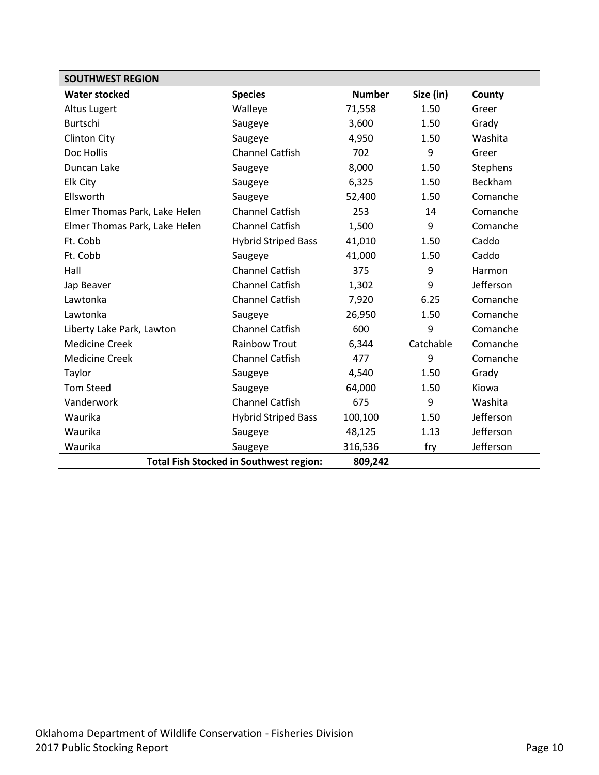<span id="page-9-0"></span>

| <b>SOUTHWEST REGION</b>       |                                                |               |           |           |
|-------------------------------|------------------------------------------------|---------------|-----------|-----------|
| <b>Water stocked</b>          | <b>Species</b>                                 | <b>Number</b> | Size (in) | County    |
| Altus Lugert                  | Walleye                                        | 71,558        | 1.50      | Greer     |
| Burtschi                      | Saugeye                                        | 3,600         | 1.50      | Grady     |
| <b>Clinton City</b>           | Saugeye                                        | 4,950         | 1.50      | Washita   |
| Doc Hollis                    | <b>Channel Catfish</b>                         | 702           | 9         | Greer     |
| Duncan Lake                   | Saugeye                                        | 8,000         | 1.50      | Stephens  |
| Elk City                      | Saugeye                                        | 6,325         | 1.50      | Beckham   |
| Ellsworth                     | Saugeye                                        | 52,400        | 1.50      | Comanche  |
| Elmer Thomas Park, Lake Helen | <b>Channel Catfish</b>                         | 253           | 14        | Comanche  |
| Elmer Thomas Park, Lake Helen | <b>Channel Catfish</b>                         | 1,500         | 9         | Comanche  |
| Ft. Cobb                      | <b>Hybrid Striped Bass</b>                     | 41,010        | 1.50      | Caddo     |
| Ft. Cobb                      | Saugeye                                        | 41,000        | 1.50      | Caddo     |
| Hall                          | <b>Channel Catfish</b>                         | 375           | 9         | Harmon    |
| Jap Beaver                    | <b>Channel Catfish</b>                         | 1,302         | 9         | Jefferson |
| Lawtonka                      | <b>Channel Catfish</b>                         | 7,920         | 6.25      | Comanche  |
| Lawtonka                      | Saugeye                                        | 26,950        | 1.50      | Comanche  |
| Liberty Lake Park, Lawton     | <b>Channel Catfish</b>                         | 600           | 9         | Comanche  |
| <b>Medicine Creek</b>         | <b>Rainbow Trout</b>                           | 6,344         | Catchable | Comanche  |
| <b>Medicine Creek</b>         | <b>Channel Catfish</b>                         | 477           | 9         | Comanche  |
| Taylor                        | Saugeye                                        | 4,540         | 1.50      | Grady     |
| <b>Tom Steed</b>              | Saugeye                                        | 64,000        | 1.50      | Kiowa     |
| Vanderwork                    | <b>Channel Catfish</b>                         | 675           | 9         | Washita   |
| Waurika                       | <b>Hybrid Striped Bass</b>                     | 100,100       | 1.50      | Jefferson |
| Waurika                       | Saugeye                                        | 48,125        | 1.13      | Jefferson |
| Waurika                       | Saugeye                                        | 316,536       | fry       | Jefferson |
|                               | <b>Total Fish Stocked in Southwest region:</b> | 809,242       |           |           |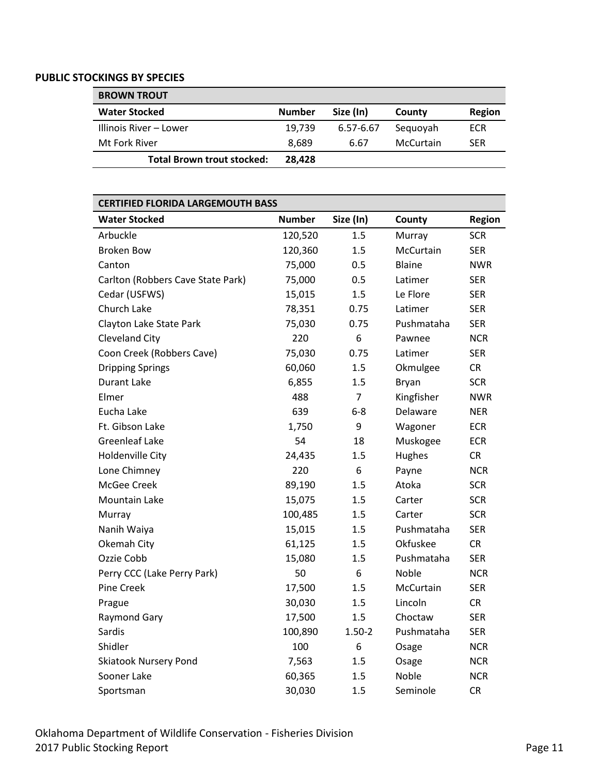#### <span id="page-10-0"></span>**PUBLIC STOCKINGS BY SPECIES**

<span id="page-10-1"></span>

| <b>BROWN TROUT</b>                |               |           |           |            |
|-----------------------------------|---------------|-----------|-----------|------------|
| <b>Water Stocked</b>              | <b>Number</b> | Size (In) | County    | Region     |
| Illinois River – Lower            | 19.739        | 6.57-6.67 | Seguoyah  | ECR        |
| Mt Fork River                     | 8.689         | 6.67      | McCurtain | <b>SER</b> |
| <b>Total Brown trout stocked:</b> | 28.428        |           |           |            |

### <span id="page-10-2"></span>**CERTIFIED FLORIDA LARGEMOUTH BASS**

| <b>Water Stocked</b>              | <b>Number</b> | Size (In)      | County        | <b>Region</b> |
|-----------------------------------|---------------|----------------|---------------|---------------|
| Arbuckle                          | 120,520       | 1.5            | Murray        | <b>SCR</b>    |
| <b>Broken Bow</b>                 | 120,360       | 1.5            | McCurtain     | <b>SER</b>    |
| Canton                            | 75,000        | 0.5            | <b>Blaine</b> | <b>NWR</b>    |
| Carlton (Robbers Cave State Park) | 75,000        | 0.5            | Latimer       | <b>SER</b>    |
| Cedar (USFWS)                     | 15,015        | 1.5            | Le Flore      | <b>SER</b>    |
| Church Lake                       | 78,351        | 0.75           | Latimer       | <b>SER</b>    |
| Clayton Lake State Park           | 75,030        | 0.75           | Pushmataha    | <b>SER</b>    |
| Cleveland City                    | 220           | 6              | Pawnee        | <b>NCR</b>    |
| Coon Creek (Robbers Cave)         | 75,030        | 0.75           | Latimer       | <b>SER</b>    |
| <b>Dripping Springs</b>           | 60,060        | 1.5            | Okmulgee      | <b>CR</b>     |
| <b>Durant Lake</b>                | 6,855         | 1.5            | Bryan         | <b>SCR</b>    |
| Elmer                             | 488           | $\overline{7}$ | Kingfisher    | <b>NWR</b>    |
| Eucha Lake                        | 639           | $6-8$          | Delaware      | <b>NER</b>    |
| Ft. Gibson Lake                   | 1,750         | 9              | Wagoner       | <b>ECR</b>    |
| <b>Greenleaf Lake</b>             | 54            | 18             | Muskogee      | <b>ECR</b>    |
| <b>Holdenville City</b>           | 24,435        | 1.5            | Hughes        | <b>CR</b>     |
| Lone Chimney                      | 220           | 6              | Payne         | <b>NCR</b>    |
| McGee Creek                       | 89,190        | 1.5            | Atoka         | <b>SCR</b>    |
| <b>Mountain Lake</b>              | 15,075        | 1.5            | Carter        | <b>SCR</b>    |
| Murray                            | 100,485       | 1.5            | Carter        | <b>SCR</b>    |
| Nanih Waiya                       | 15,015        | 1.5            | Pushmataha    | <b>SER</b>    |
| Okemah City                       | 61,125        | 1.5            | Okfuskee      | <b>CR</b>     |
| Ozzie Cobb                        | 15,080        | 1.5            | Pushmataha    | <b>SER</b>    |
| Perry CCC (Lake Perry Park)       | 50            | 6              | Noble         | <b>NCR</b>    |
| Pine Creek                        | 17,500        | 1.5            | McCurtain     | <b>SER</b>    |
| Prague                            | 30,030        | 1.5            | Lincoln       | CR            |
| <b>Raymond Gary</b>               | 17,500        | 1.5            | Choctaw       | <b>SER</b>    |
| Sardis                            | 100,890       | $1.50 - 2$     | Pushmataha    | <b>SER</b>    |
| Shidler                           | 100           | 6              | Osage         | <b>NCR</b>    |
| <b>Skiatook Nursery Pond</b>      | 7,563         | 1.5            | Osage         | <b>NCR</b>    |
| Sooner Lake                       | 60,365        | 1.5            | Noble         | <b>NCR</b>    |
| Sportsman                         | 30,030        | 1.5            | Seminole      | <b>CR</b>     |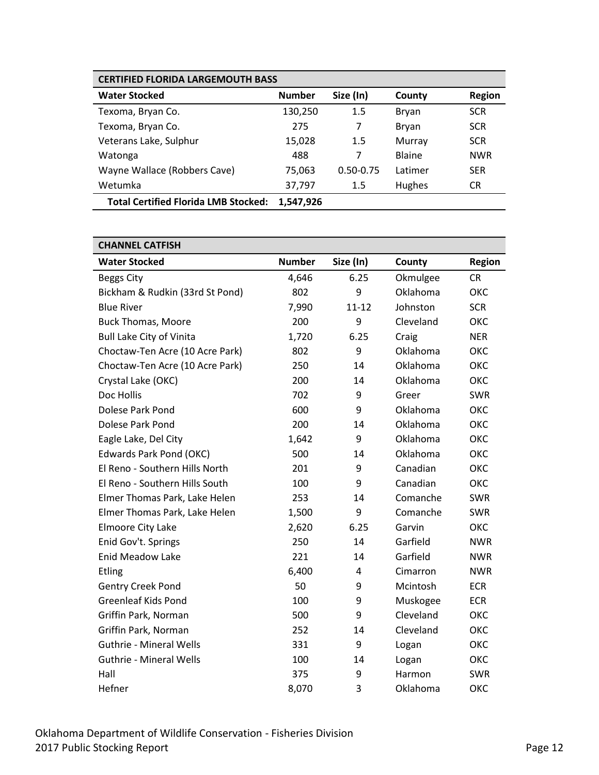| <b>CERTIFIED FLORIDA LARGEMOUTH BASS</b>    |               |               |               |               |
|---------------------------------------------|---------------|---------------|---------------|---------------|
| <b>Water Stocked</b>                        | <b>Number</b> | Size (In)     | County        | <b>Region</b> |
| Texoma, Bryan Co.                           | 130,250       | 1.5           | Bryan         | <b>SCR</b>    |
| Texoma, Bryan Co.                           | 275           | 7             | Bryan         | <b>SCR</b>    |
| Veterans Lake, Sulphur                      | 15,028        | 1.5           | Murray        | <b>SCR</b>    |
| Watonga                                     | 488           | 7             | <b>Blaine</b> | <b>NWR</b>    |
| Wayne Wallace (Robbers Cave)                | 75,063        | $0.50 - 0.75$ | Latimer       | <b>SER</b>    |
| Wetumka                                     | 37,797        | 1.5           | <b>Hughes</b> | CR.           |
| <b>Total Certified Florida LMB Stocked:</b> | 1.547.926     |               |               |               |

# **Water Stocked Number Size (In) County Region** Beggs City **6.25** Okmulgee CR Bickham & Rudkin (33rd St Pond) 802 9 Oklahoma OKC Blue River **11-12** SCR CONTROLLER TO A STATE 11-12 Johnston SCR Buck Thomas, Moore 200 9 Cleveland OKC Bull Lake City of Vinita **1,720** 6.25 Craig NER Choctaw-Ten Acre (10 Acre Park) 802 9 Oklahoma OKC Choctaw-Ten Acre (10 Acre Park) 250 14 Oklahoma OKC Crystal Lake (OKC) 200 14 Oklahoma OKC Doc Hollis **No. 202** 9 Greer SWR Dolese Park Pond **600** and GOO 9 Oklahoma OKC

| Dolese Park Pond               | 200   | 14   | Oklahoma  | ОКС        |
|--------------------------------|-------|------|-----------|------------|
| Eagle Lake, Del City           | 1,642 | 9    | Oklahoma  | ОКС        |
| Edwards Park Pond (OKC)        | 500   | 14   | Oklahoma  | ОКС        |
| El Reno - Southern Hills North | 201   | 9    | Canadian  | ОКС        |
| El Reno - Southern Hills South | 100   | 9    | Canadian  | ОКС        |
| Elmer Thomas Park, Lake Helen  | 253   | 14   | Comanche  | SWR        |
| Elmer Thomas Park, Lake Helen  | 1,500 | 9    | Comanche  | <b>SWR</b> |
| Elmoore City Lake              | 2,620 | 6.25 | Garvin    | ОКС        |
| Enid Gov't. Springs            | 250   | 14   | Garfield  | <b>NWR</b> |
| <b>Enid Meadow Lake</b>        | 221   | 14   | Garfield  | <b>NWR</b> |
| <b>Etling</b>                  | 6,400 | 4    | Cimarron  | <b>NWR</b> |
| <b>Gentry Creek Pond</b>       | 50    | 9    | Mcintosh  | <b>ECR</b> |
| <b>Greenleaf Kids Pond</b>     | 100   | 9    | Muskogee  | <b>ECR</b> |
| Griffin Park, Norman           | 500   | 9    | Cleveland | ОКС        |
| Griffin Park, Norman           | 252   | 14   | Cleveland | ОКС        |
| <b>Guthrie - Mineral Wells</b> | 331   | 9    | Logan     | ОКС        |
| <b>Guthrie - Mineral Wells</b> | 100   | 14   | Logan     | ОКС        |
| Hall                           | 375   | 9    | Harmon    | <b>SWR</b> |
| Hefner                         | 8,070 | 3    | Oklahoma  | ОКС        |

<span id="page-11-0"></span>**CHANNEL CATFISH**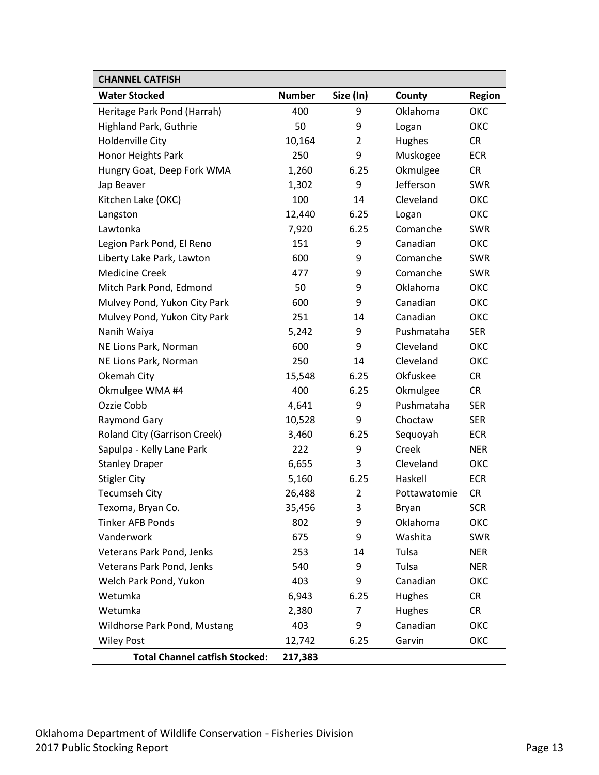| <b>CHANNEL CATFISH</b>                |               |                |              |               |
|---------------------------------------|---------------|----------------|--------------|---------------|
| <b>Water Stocked</b>                  | <b>Number</b> | Size (In)      | County       | <b>Region</b> |
| Heritage Park Pond (Harrah)           | 400           | 9              | Oklahoma     | ОКС           |
| Highland Park, Guthrie                | 50            | 9              | Logan        | ОКС           |
| <b>Holdenville City</b>               | 10,164        | 2              | Hughes       | <b>CR</b>     |
| Honor Heights Park                    | 250           | 9              | Muskogee     | <b>ECR</b>    |
| Hungry Goat, Deep Fork WMA            | 1,260         | 6.25           | Okmulgee     | <b>CR</b>     |
| Jap Beaver                            | 1,302         | 9              | Jefferson    | <b>SWR</b>    |
| Kitchen Lake (OKC)                    | 100           | 14             | Cleveland    | ОКС           |
| Langston                              | 12,440        | 6.25           | Logan        | ОКС           |
| Lawtonka                              | 7,920         | 6.25           | Comanche     | <b>SWR</b>    |
| Legion Park Pond, El Reno             | 151           | 9              | Canadian     | ОКС           |
| Liberty Lake Park, Lawton             | 600           | 9              | Comanche     | <b>SWR</b>    |
| <b>Medicine Creek</b>                 | 477           | 9              | Comanche     | <b>SWR</b>    |
| Mitch Park Pond, Edmond               | 50            | 9              | Oklahoma     | ОКС           |
| Mulvey Pond, Yukon City Park          | 600           | 9              | Canadian     | ОКС           |
| Mulvey Pond, Yukon City Park          | 251           | 14             | Canadian     | ОКС           |
| Nanih Waiya                           | 5,242         | 9              | Pushmataha   | <b>SER</b>    |
| NE Lions Park, Norman                 | 600           | 9              | Cleveland    | ОКС           |
| NE Lions Park, Norman                 | 250           | 14             | Cleveland    | ОКС           |
| Okemah City                           | 15,548        | 6.25           | Okfuskee     | <b>CR</b>     |
| Okmulgee WMA #4                       | 400           | 6.25           | Okmulgee     | <b>CR</b>     |
| Ozzie Cobb                            | 4,641         | 9              | Pushmataha   | <b>SER</b>    |
| <b>Raymond Gary</b>                   | 10,528        | 9              | Choctaw      | <b>SER</b>    |
| Roland City (Garrison Creek)          | 3,460         | 6.25           | Sequoyah     | <b>ECR</b>    |
| Sapulpa - Kelly Lane Park             | 222           | 9              | Creek        | <b>NER</b>    |
| <b>Stanley Draper</b>                 | 6,655         | 3              | Cleveland    | ОКС           |
| <b>Stigler City</b>                   | 5,160         | 6.25           | Haskell      | <b>ECR</b>    |
| <b>Tecumseh City</b>                  | 26,488        | $\overline{2}$ | Pottawatomie | <b>CR</b>     |
| Texoma, Bryan Co.                     | 35,456        | 3              | Bryan        | <b>SCR</b>    |
| <b>Tinker AFB Ponds</b>               | 802           | 9              | Oklahoma     | ОКС           |
| Vanderwork                            | 675           | 9              | Washita      | <b>SWR</b>    |
| Veterans Park Pond, Jenks             | 253           | 14             | Tulsa        | <b>NER</b>    |
| Veterans Park Pond, Jenks             | 540           | 9              | Tulsa        | <b>NER</b>    |
| Welch Park Pond, Yukon                | 403           | 9              | Canadian     | ОКС           |
| Wetumka                               | 6,943         | 6.25           | Hughes       | <b>CR</b>     |
| Wetumka                               | 2,380         | 7              | Hughes       | <b>CR</b>     |
| Wildhorse Park Pond, Mustang          | 403           | 9              | Canadian     | ОКС           |
| <b>Wiley Post</b>                     | 12,742        | 6.25           | Garvin       | ОКС           |
| <b>Total Channel catfish Stocked:</b> | 217,383       |                |              |               |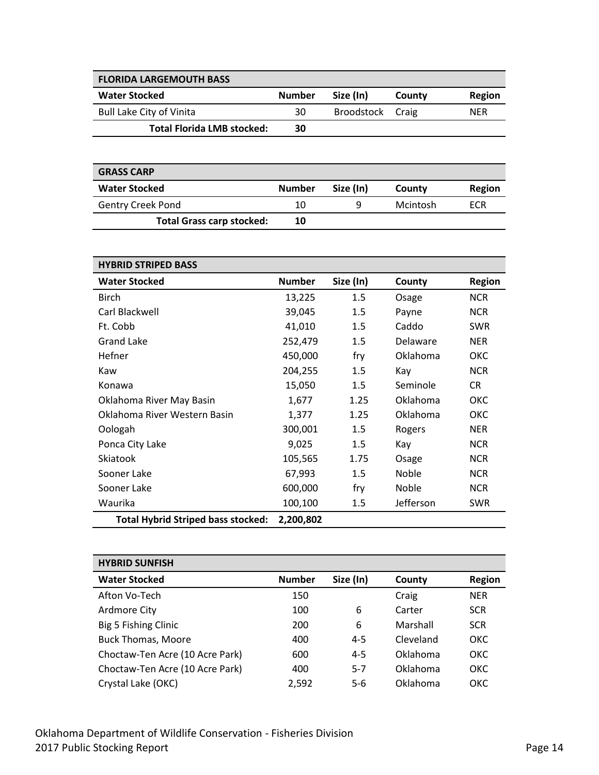<span id="page-13-0"></span>

| <b>FLORIDA LARGEMOUTH BASS</b>    |               |                  |        |            |
|-----------------------------------|---------------|------------------|--------|------------|
| <b>Water Stocked</b>              | <b>Number</b> | Size (In)        | County | Region     |
| <b>Bull Lake City of Vinita</b>   | 30            | Broodstock Craig |        | <b>NER</b> |
| <b>Total Florida LMB stocked:</b> | 30            |                  |        |            |

<span id="page-13-1"></span>

| <b>GRASS CARP</b>                |               |           |          |        |
|----------------------------------|---------------|-----------|----------|--------|
| <b>Water Stocked</b>             | <b>Number</b> | Size (In) | County   | Region |
| <b>Gentry Creek Pond</b>         | 10            | a         | Mcintosh | ECR    |
| <b>Total Grass carp stocked:</b> | 10            |           |          |        |

<span id="page-13-2"></span>

| <b>HYBRID STRIPED BASS</b>                |               |           |           |               |
|-------------------------------------------|---------------|-----------|-----------|---------------|
| <b>Water Stocked</b>                      | <b>Number</b> | Size (In) | County    | <b>Region</b> |
| <b>Birch</b>                              | 13,225        | $1.5\,$   | Osage     | <b>NCR</b>    |
| Carl Blackwell                            | 39,045        | 1.5       | Payne     | <b>NCR</b>    |
| Ft. Cobb                                  | 41,010        | 1.5       | Caddo     | <b>SWR</b>    |
| Grand Lake                                | 252,479       | 1.5       | Delaware  | NER           |
| Hefner                                    | 450,000       | fry       | Oklahoma  | ОКС           |
| Kaw                                       | 204,255       | 1.5       | Kay       | <b>NCR</b>    |
| Konawa                                    | 15,050        | 1.5       | Seminole  | CR            |
| Oklahoma River May Basin                  | 1,677         | 1.25      | Oklahoma  | ОКС           |
| Oklahoma River Western Basin              | 1,377         | 1.25      | Oklahoma  | ОКС           |
| Oologah                                   | 300,001       | $1.5\,$   | Rogers    | <b>NER</b>    |
| Ponca City Lake                           | 9,025         | 1.5       | Kay       | <b>NCR</b>    |
| Skiatook                                  | 105,565       | 1.75      | Osage     | <b>NCR</b>    |
| Sooner Lake                               | 67,993        | 1.5       | Noble     | <b>NCR</b>    |
| Sooner Lake                               | 600,000       | fry       | Noble     | <b>NCR</b>    |
| Waurika                                   | 100,100       | 1.5       | Jefferson | SWR           |
| <b>Total Hybrid Striped bass stocked:</b> | 2,200,802     |           |           |               |

<span id="page-13-3"></span>

| <b>HYBRID SUNFISH</b>           |               |           |           |            |
|---------------------------------|---------------|-----------|-----------|------------|
| <b>Water Stocked</b>            | <b>Number</b> | Size (In) | County    | Region     |
| Afton Vo-Tech                   | 150           |           | Craig     | <b>NER</b> |
| Ardmore City                    | 100           | 6         | Carter    | <b>SCR</b> |
| Big 5 Fishing Clinic            | 200           | 6         | Marshall  | <b>SCR</b> |
| <b>Buck Thomas, Moore</b>       | 400           | $4 - 5$   | Cleveland | <b>OKC</b> |
| Choctaw-Ten Acre (10 Acre Park) | 600           | $4 - 5$   | Oklahoma  | OKC.       |
| Choctaw-Ten Acre (10 Acre Park) | 400           | $5 - 7$   | Oklahoma  | <b>OKC</b> |
| Crystal Lake (OKC)              | 2,592         | $5-6$     | Oklahoma  | <b>OKC</b> |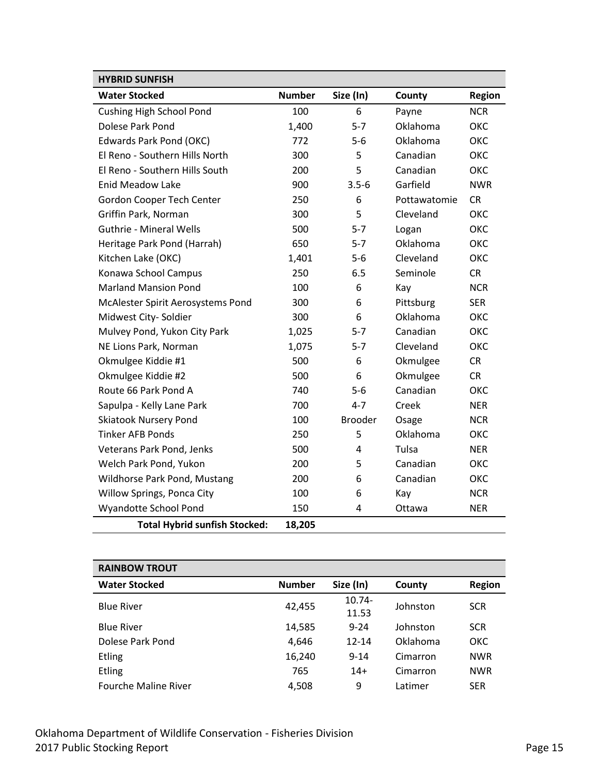| <b>HYBRID SUNFISH</b>                |               |                |              |            |
|--------------------------------------|---------------|----------------|--------------|------------|
| <b>Water Stocked</b>                 | <b>Number</b> | Size (In)      | County       | Region     |
| <b>Cushing High School Pond</b>      | 100           | 6              | Payne        | <b>NCR</b> |
| Dolese Park Pond                     | 1,400         | $5 - 7$        | Oklahoma     | OKC        |
| Edwards Park Pond (OKC)              | 772           | $5-6$          | Oklahoma     | OKC        |
| El Reno - Southern Hills North       | 300           | 5              | Canadian     | OKC        |
| El Reno - Southern Hills South       | 200           | 5              | Canadian     | ОКС        |
| <b>Enid Meadow Lake</b>              | 900           | $3.5 - 6$      | Garfield     | <b>NWR</b> |
| Gordon Cooper Tech Center            | 250           | 6              | Pottawatomie | <b>CR</b>  |
| Griffin Park, Norman                 | 300           | 5              | Cleveland    | ОКС        |
| <b>Guthrie - Mineral Wells</b>       | 500           | $5 - 7$        | Logan        | OKC        |
| Heritage Park Pond (Harrah)          | 650           | $5 - 7$        | Oklahoma     | ОКС        |
| Kitchen Lake (OKC)                   | 1,401         | $5-6$          | Cleveland    | ОКС        |
| Konawa School Campus                 | 250           | 6.5            | Seminole     | <b>CR</b>  |
| <b>Marland Mansion Pond</b>          | 100           | 6              | Kay          | <b>NCR</b> |
| McAlester Spirit Aerosystems Pond    | 300           | 6              | Pittsburg    | <b>SER</b> |
| Midwest City-Soldier                 | 300           | 6              | Oklahoma     | OKC        |
| Mulvey Pond, Yukon City Park         | 1,025         | $5 - 7$        | Canadian     | ОКС        |
| NE Lions Park, Norman                | 1,075         | $5 - 7$        | Cleveland    | OKC        |
| Okmulgee Kiddie #1                   | 500           | 6              | Okmulgee     | <b>CR</b>  |
| Okmulgee Kiddie #2                   | 500           | 6              | Okmulgee     | <b>CR</b>  |
| Route 66 Park Pond A                 | 740           | $5-6$          | Canadian     | OKC        |
| Sapulpa - Kelly Lane Park            | 700           | $4 - 7$        | Creek        | <b>NER</b> |
| <b>Skiatook Nursery Pond</b>         | 100           | <b>Brooder</b> | Osage        | <b>NCR</b> |
| <b>Tinker AFB Ponds</b>              | 250           | 5              | Oklahoma     | OKC        |
| Veterans Park Pond, Jenks            | 500           | 4              | Tulsa        | <b>NER</b> |
| Welch Park Pond, Yukon               | 200           | 5              | Canadian     | OKC        |
| Wildhorse Park Pond, Mustang         | 200           | 6              | Canadian     | ОКС        |
| Willow Springs, Ponca City           | 100           | 6              | Kay          | <b>NCR</b> |
| Wyandotte School Pond                | 150           | 4              | Ottawa       | <b>NER</b> |
| <b>Total Hybrid sunfish Stocked:</b> | 18,205        |                |              |            |

<span id="page-14-0"></span>

| <b>RAINBOW TROUT</b>        |               |           |          |               |
|-----------------------------|---------------|-----------|----------|---------------|
| <b>Water Stocked</b>        | <b>Number</b> | Size (In) | County   | <b>Region</b> |
| <b>Blue River</b>           |               | $10.74 -$ | Johnston | <b>SCR</b>    |
|                             | 42,455        | 11.53     |          |               |
| <b>Blue River</b>           | 14,585        | $9 - 24$  | Johnston | <b>SCR</b>    |
| Dolese Park Pond            | 4,646         | $12 - 14$ | Oklahoma | <b>OKC</b>    |
| <b>Etling</b>               | 16,240        | $9 - 14$  | Cimarron | <b>NWR</b>    |
| <b>Etling</b>               | 765           | $14+$     | Cimarron | <b>NWR</b>    |
| <b>Fourche Maline River</b> | 4.508         | 9         | Latimer  | <b>SER</b>    |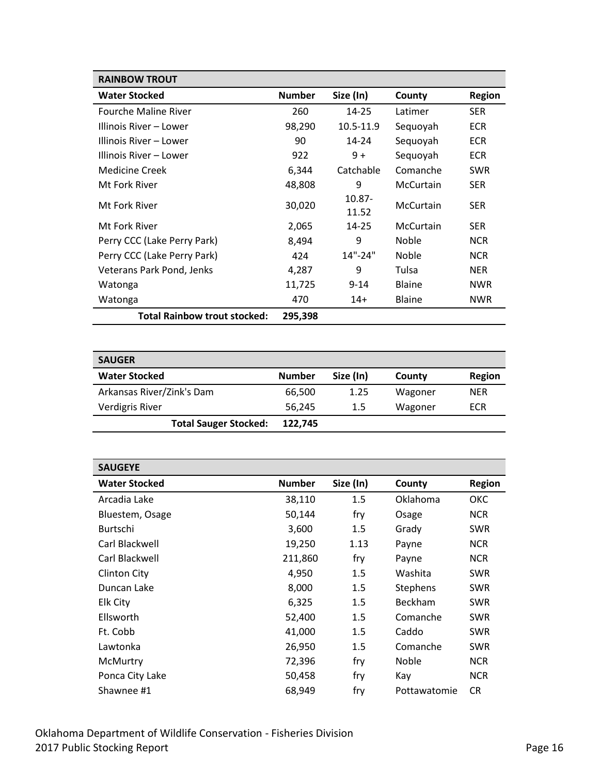| <b>RAINBOW TROUT</b>                |               |                    |               |               |
|-------------------------------------|---------------|--------------------|---------------|---------------|
| <b>Water Stocked</b>                | <b>Number</b> | Size (In)          | County        | <b>Region</b> |
| <b>Fourche Maline River</b>         | 260           | 14-25              | Latimer       | <b>SER</b>    |
| Illinois River – Lower              | 98,290        | 10.5-11.9          | Sequoyah      | <b>ECR</b>    |
| Illinois River – Lower              | 90            | 14-24              | Sequoyah      | <b>ECR</b>    |
| Illinois River – Lower              | 922           | $9+$               | Sequoyah      | <b>ECR</b>    |
| <b>Medicine Creek</b>               | 6,344         | Catchable          | Comanche      | <b>SWR</b>    |
| Mt Fork River                       | 48,808        | 9                  | McCurtain     | <b>SER</b>    |
| Mt Fork River                       | 30,020        | $10.87 -$<br>11.52 | McCurtain     | <b>SER</b>    |
| Mt Fork River                       | 2,065         | $14 - 25$          | McCurtain     | <b>SER</b>    |
| Perry CCC (Lake Perry Park)         | 8,494         | 9                  | <b>Noble</b>  | <b>NCR</b>    |
| Perry CCC (Lake Perry Park)         | 424           | $14" - 24"$        | <b>Noble</b>  | <b>NCR</b>    |
| Veterans Park Pond, Jenks           | 4,287         | 9                  | Tulsa         | <b>NER</b>    |
| Watonga                             | 11,725        | $9 - 14$           | <b>Blaine</b> | <b>NWR</b>    |
| Watonga                             | 470           | $14+$              | <b>Blaine</b> | <b>NWR</b>    |
| <b>Total Rainbow trout stocked:</b> | 295,398       |                    |               |               |

<span id="page-15-0"></span>

| <b>SAUGER</b>                |               |           |         |            |
|------------------------------|---------------|-----------|---------|------------|
| <b>Water Stocked</b>         | <b>Number</b> | Size (In) | County  | Region     |
| Arkansas River/Zink's Dam    | 66,500        | 1.25      | Wagoner | <b>NER</b> |
| <b>Verdigris River</b>       | 56,245        | $1.5\,$   | Wagoner | ECR        |
| <b>Total Sauger Stocked:</b> | 122.745       |           |         |            |

<span id="page-15-1"></span>

| <b>SAUGEYE</b>       |               |           |                 |               |
|----------------------|---------------|-----------|-----------------|---------------|
| <b>Water Stocked</b> | <b>Number</b> | Size (In) | County          | <b>Region</b> |
| Arcadia Lake         | 38,110        | 1.5       | Oklahoma        | ОКС           |
| Bluestem, Osage      | 50,144        | fry       | Osage           | <b>NCR</b>    |
| <b>Burtschi</b>      | 3,600         | 1.5       | Grady           | <b>SWR</b>    |
| Carl Blackwell       | 19,250        | 1.13      | Payne           | <b>NCR</b>    |
| Carl Blackwell       | 211,860       | fry       | Payne           | <b>NCR</b>    |
| Clinton City         | 4,950         | 1.5       | Washita         | <b>SWR</b>    |
| Duncan Lake          | 8,000         | 1.5       | <b>Stephens</b> | <b>SWR</b>    |
| Elk City             | 6,325         | 1.5       | <b>Beckham</b>  | <b>SWR</b>    |
| Ellsworth            | 52,400        | 1.5       | Comanche        | <b>SWR</b>    |
| Ft. Cobb             | 41,000        | 1.5       | Caddo           | <b>SWR</b>    |
| Lawtonka             | 26,950        | 1.5       | Comanche        | <b>SWR</b>    |
| McMurtry             | 72,396        | fry       | <b>Noble</b>    | <b>NCR</b>    |
| Ponca City Lake      | 50,458        | fry       | Kay             | <b>NCR</b>    |
| Shawnee #1           | 68,949        | fry       | Pottawatomie    | <b>CR</b>     |